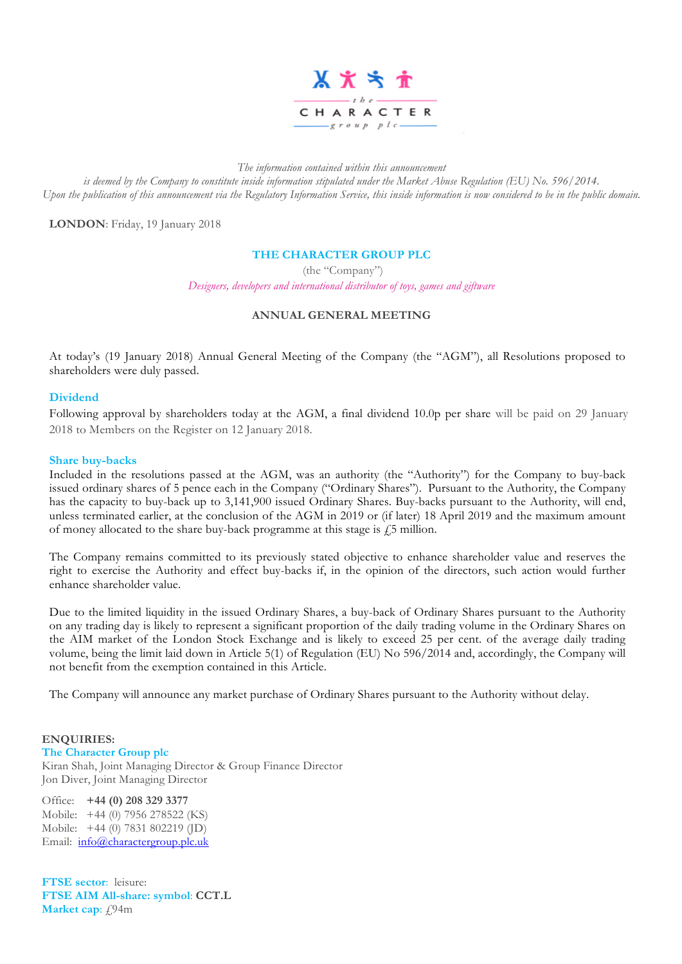

*The information contained within this announcement*

*is deemed by the Company to constitute inside information stipulated under the Market Abuse Regulation (EU) No. 596/2014. Upon the publication of this announcement via the Regulatory Information Service, this inside information is now considered to be in the public domain.*

**LONDON**: Friday, 19 January 2018

## **THE CHARACTER GROUP PLC**

(the "Company")

*Designers, developers and international distributor of toys, games and giftware*

# **ANNUAL GENERAL MEETING**

At today's (19 January 2018) Annual General Meeting of the Company (the "AGM"), all Resolutions proposed to shareholders were duly passed.

### **Dividend**

Following approval by shareholders today at the AGM, a final dividend 10.0p per share will be paid on 29 January 2018 to Members on the Register on 12 January 2018.

#### **Share buy-backs**

Included in the resolutions passed at the AGM, was an authority (the "Authority") for the Company to buy-back issued ordinary shares of 5 pence each in the Company ("Ordinary Shares"). Pursuant to the Authority, the Company has the capacity to buy-back up to 3,141,900 issued Ordinary Shares. Buy-backs pursuant to the Authority, will end, unless terminated earlier, at the conclusion of the AGM in 2019 or (if later) 18 April 2019 and the maximum amount of money allocated to the share buy-back programme at this stage is  $\ddot{f}$  million.

The Company remains committed to its previously stated objective to enhance shareholder value and reserves the right to exercise the Authority and effect buy-backs if, in the opinion of the directors, such action would further enhance shareholder value.

Due to the limited liquidity in the issued Ordinary Shares, a buy-back of Ordinary Shares pursuant to the Authority on any trading day is likely to represent a significant proportion of the daily trading volume in the Ordinary Shares on the AIM market of the London Stock Exchange and is likely to exceed 25 per cent. of the average daily trading volume, being the limit laid down in Article 5(1) of Regulation (EU) No 596/2014 and, accordingly, the Company will not benefit from the exemption contained in this Article.

The Company will announce any market purchase of Ordinary Shares pursuant to the Authority without delay.

### **ENQUIRIES:**

**The Character Group plc**

Kiran Shah, Joint Managing Director & Group Finance Director Jon Diver, Joint Managing Director

Office: **+44 (0) 208 329 3377** Mobile: +44 (0) 7956 278522 (KS) Mobile: +44 (0) 7831 802219 (JD) Email: info@charactergroup.plc.uk

**FTSE sector**: leisure: **FTSE AIM All-share: symbol**: **CCT.L Market cap**:  $f94m$